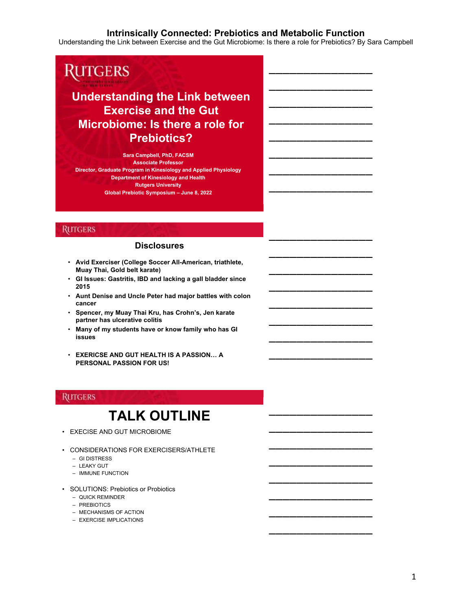\_\_\_\_\_\_\_\_\_\_\_\_\_\_\_

\_\_\_\_\_\_\_\_\_\_\_\_\_\_\_

\_\_\_\_\_\_\_\_\_\_\_\_\_\_\_

\_\_\_\_\_\_\_\_\_\_\_\_\_\_\_

\_\_\_\_\_\_\_\_\_\_\_\_\_\_\_

\_\_\_\_\_\_\_\_\_\_\_\_\_\_\_

\_\_\_\_\_\_\_\_\_\_\_\_\_\_\_

\_\_\_\_\_\_\_\_\_\_\_\_\_\_\_

\_\_\_\_\_\_\_\_\_\_\_\_\_\_\_

\_\_\_\_\_\_\_\_\_\_\_\_\_\_\_

\_\_\_\_\_\_\_\_\_\_\_\_\_\_\_

\_\_\_\_\_\_\_\_\_\_\_\_\_\_\_

\_\_\_\_\_\_\_\_\_\_\_\_\_\_\_

\_\_\_\_\_\_\_\_\_\_\_\_\_\_\_

\_\_\_\_\_\_\_\_\_\_\_\_\_\_\_

\_\_\_\_\_\_\_\_\_\_\_\_\_\_\_

\_\_\_\_\_\_\_\_\_\_\_\_\_\_\_

\_\_\_\_\_\_\_\_\_\_\_\_\_\_\_

\_\_\_\_\_\_\_\_\_\_\_\_\_\_\_

\_\_\_\_\_\_\_\_\_\_\_\_\_\_\_

\_\_\_\_\_\_\_\_\_\_\_\_\_\_\_

\_\_\_\_\_\_\_\_\_\_\_\_\_\_\_

\_\_\_\_\_\_\_\_\_\_\_\_\_\_\_

\_\_\_\_\_\_\_\_\_\_\_\_\_\_\_

Understanding the Link between Exercise and the Gut Microbiome: Is there a role for Prebiotics? By Sara Campbell

# **RUTGERS**

# **Understanding the Link between Exercise and the Gut Microbiome: Is there a role for Prebiotics?**

**Sara Campbell, PhD, FACSM Associate Professor Director, Graduate Program in Kinesiology and Applied Physiology Department of Kinesiology and Health Rutgers University Global Prebiotic Symposium – June 8, 2022**

# **RUTGERS**

### **Disclosures**

- **Avid Exerciser (College Soccer All-American, triathlete, Muay Thai, Gold belt karate)**
- **GI Issues: Gastritis, IBD and lacking a gall bladder since 2015**
- **Aunt Denise and Uncle Peter had major battles with colon cancer**
- **Spencer, my Muay Thai Kru, has Crohn's, Jen karate partner has ulcerative colitis**
- **Many of my students have or know family who has GI issues**
- **EXERICSE AND GUT HEALTH IS A PASSION… A PERSONAL PASSION FOR US!**

# **RUTGERS**

# **TALK OUTLINE**

- EXECISE AND GUT MICROBIOME
- CONSIDERATIONS FOR EXERCISERS/ATHLETE
	- GI DISTRESS
	- LEAKY GUT
	- IMMUNE FUNCTION
- SOLUTIONS: Prebiotics or Probiotics
	- QUICK REMINDER
	- PREBIOTICS
	- MECHANISMS OF ACTION
	- EXERCISE IMPLICATIONS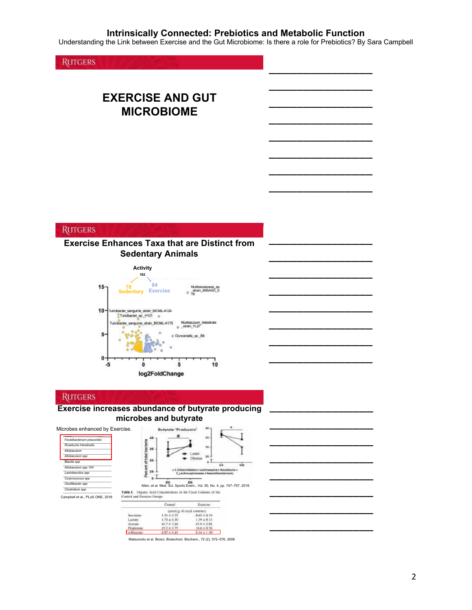Understanding the Link between Exercise and the Gut Microbiome: Is there a role for Prebiotics? By Sara Campbell

\_\_\_\_\_\_\_\_\_\_\_\_\_\_\_

\_\_\_\_\_\_\_\_\_\_\_\_\_\_\_

\_\_\_\_\_\_\_\_\_\_\_\_\_\_\_

\_\_\_\_\_\_\_\_\_\_\_\_\_\_\_

\_\_\_\_\_\_\_\_\_\_\_\_\_\_\_

\_\_\_\_\_\_\_\_\_\_\_\_\_\_\_

\_\_\_\_\_\_\_\_\_\_\_\_\_\_\_

\_\_\_\_\_\_\_\_\_\_\_\_\_\_\_

\_\_\_\_\_\_\_\_\_\_\_\_\_\_\_

\_\_\_\_\_\_\_\_\_\_\_\_\_\_\_

\_\_\_\_\_\_\_\_\_\_\_\_\_\_\_

\_\_\_\_\_\_\_\_\_\_\_\_\_\_\_

\_\_\_\_\_\_\_\_\_\_\_\_\_\_\_

\_\_\_\_\_\_\_\_\_\_\_\_\_\_\_

\_\_\_\_\_\_\_\_\_\_\_\_\_\_\_

\_\_\_\_\_\_\_\_\_\_\_\_\_\_\_

\_\_\_\_\_\_\_\_\_\_\_\_\_\_\_

\_\_\_\_\_\_\_\_\_\_\_\_\_\_\_

\_\_\_\_\_\_\_\_\_\_\_\_\_\_\_

\_\_\_\_\_\_\_\_\_\_\_\_\_\_\_

\_\_\_\_\_\_\_\_\_\_\_\_\_\_\_

\_\_\_\_\_\_\_\_\_\_\_\_\_\_\_

\_\_\_\_\_\_\_\_\_\_\_\_\_\_\_

\_\_\_\_\_\_\_\_\_\_\_\_\_\_\_

**RUTGERS** 

# **EXERCISE AND GUT MICROBIOME**

## **RUTGERS**

# **Exercise Enhances Taxa that are Distinct from Sedentary Animals**



# **RUTGERS**

### **Exercise increases abundance of butyrate producing microbes and butyrate**

| Microbes enhanced by Exercise.                                                                                                                                         | 40<br><b>Butvrate 'Producers'</b>                                                                                                              |
|------------------------------------------------------------------------------------------------------------------------------------------------------------------------|------------------------------------------------------------------------------------------------------------------------------------------------|
| Fecalibacterium prausnitzii<br>Roseburia Intestinalis<br>Allohaculum<br>Allobaculum spp<br>Blautia spp<br>Allobaculum spp 104<br>Lactobaccilus spp<br>Corprococcus spp | 36<br>ទួ<br>30<br>36<br>Ë<br>28<br>Obese<br>âů<br>Will<br>๛<br>kastrīdisles + Lachnassina + Roseburta +<br>Lachnessiraceae + Faecaliberterium) |
| Oscillibacter spp                                                                                                                                                      | Allen, et al. Med. Sci. Sports Exerc., Vol. 50, No. 4, pp. 747-757, 2018.                                                                      |
| Clostridium spp<br>Campbell et al., PLoS ONE, 2016                                                                                                                     | Organic Acid Concentrations in the Cecal Contents of the<br>Table 1.<br>Control and Exercise Groups                                            |
|                                                                                                                                                                        | Control<br>Esprese                                                                                                                             |
|                                                                                                                                                                        | (amotyg of cecal commun)                                                                                                                       |

|                | Control:                    | Expresse        |
|----------------|-----------------------------|-----------------|
|                | · dansityg of cocal communi |                 |
| Socrimone      | $1.31 \pm 0.25$             | $0.05 \pm 0.19$ |
| <b>Lartato</b> | $0.63 \pm 0.71$             | $1.36 \pm 0.15$ |
| Acessis.       | $41.7 + 3.44$               | $41.6 + 2.94$   |
| Реприсовые.    | $15.2 \pm 0.75$             | $16.6 \pm 0.76$ |
|                | $4.87 + 0.41$               | $14 + 136$      |

Matsumoto et al. Biosci. Biotechnol. Biochem., 72 (2), 572–576, 2008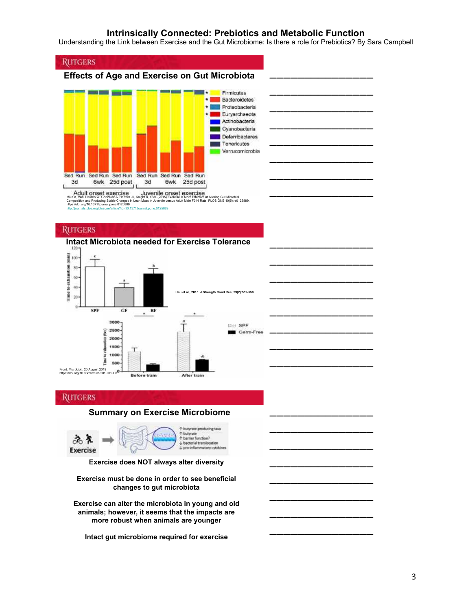Understanding the Link between Exercise and the Gut Microbiome: Is there a role for Prebiotics? By Sara Campbell

\_\_\_\_\_\_\_\_\_\_\_\_\_\_\_

\_\_\_\_\_\_\_\_\_\_\_\_\_\_\_

\_\_\_\_\_\_\_\_\_\_\_\_\_\_\_

\_\_\_\_\_\_\_\_\_\_\_\_\_\_\_

\_\_\_\_\_\_\_\_\_\_\_\_\_\_\_

\_\_\_\_\_\_\_\_\_\_\_\_\_\_\_

\_\_\_\_\_\_\_\_\_\_\_\_\_\_\_

\_\_\_\_\_\_\_\_\_\_\_\_\_\_\_

\_\_\_\_\_\_\_\_\_\_\_\_\_\_\_

\_\_\_\_\_\_\_\_\_\_\_\_\_\_\_

\_\_\_\_\_\_\_\_\_\_\_\_\_\_\_

\_\_\_\_\_\_\_\_\_\_\_\_\_\_\_

\_\_\_\_\_\_\_\_\_\_\_\_\_\_\_

\_\_\_\_\_\_\_\_\_\_\_\_\_\_\_

\_\_\_\_\_\_\_\_\_\_\_\_\_\_\_

\_\_\_\_\_\_\_\_\_\_\_\_\_\_\_

\_\_\_\_\_\_\_\_\_\_\_\_\_\_\_

\_\_\_\_\_\_\_\_\_\_\_\_\_\_\_

\_\_\_\_\_\_\_\_\_\_\_\_\_\_\_

\_\_\_\_\_\_\_\_\_\_\_\_\_\_\_

\_\_\_\_\_\_\_\_\_\_\_\_\_\_\_

\_\_\_\_\_\_\_\_\_\_\_\_\_\_\_

\_\_\_\_\_\_\_\_\_\_\_\_\_\_\_

\_\_\_\_\_\_\_\_\_\_\_\_\_\_\_





Adult onset exercise<br>Mika A, Van Treuren W, González A, Herrera JJ, Knight R, et al. (2015) Exercise Is More Effective at Altering SCI EXCI LISC<br>ercise Is More Effective at Altering Gut Microbial<br>us Adult Male F344 Rats. PLOS ONE 10(5): e0125889 Composition and Producing Stable Changes in Inttps://doi.org/10.1371/journal.pone.0125889 cle?id=10.1371/journal.pone.0125889

#### **RUTGERS**

# **Intact Microbiota needed for Exercise Tolerance**



#### **RUTGERS**

### **Summary on Exercise Microbiome**



**Exercise must be done in order to see beneficial changes to gut microbiota**

**Exercise can alter the microbiota in young and old animals; however, it seems that the impacts are more robust when animals are younger**

**Intact gut microbiome required for exercise**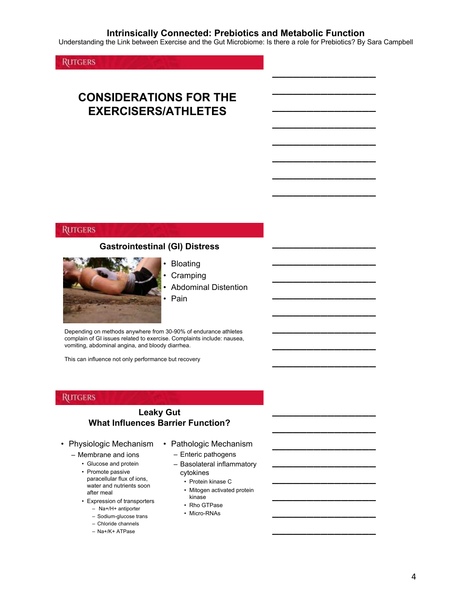Understanding the Link between Exercise and the Gut Microbiome: Is there a role for Prebiotics? By Sara Campbell

\_\_\_\_\_\_\_\_\_\_\_\_\_\_\_

\_\_\_\_\_\_\_\_\_\_\_\_\_\_\_

\_\_\_\_\_\_\_\_\_\_\_\_\_\_\_

\_\_\_\_\_\_\_\_\_\_\_\_\_\_\_

\_\_\_\_\_\_\_\_\_\_\_\_\_\_\_

\_\_\_\_\_\_\_\_\_\_\_\_\_\_\_

\_\_\_\_\_\_\_\_\_\_\_\_\_\_\_

\_\_\_\_\_\_\_\_\_\_\_\_\_\_\_

\_\_\_\_\_\_\_\_\_\_\_\_\_\_\_

\_\_\_\_\_\_\_\_\_\_\_\_\_\_\_

\_\_\_\_\_\_\_\_\_\_\_\_\_\_\_

\_\_\_\_\_\_\_\_\_\_\_\_\_\_\_

\_\_\_\_\_\_\_\_\_\_\_\_\_\_\_

\_\_\_\_\_\_\_\_\_\_\_\_\_\_\_

\_\_\_\_\_\_\_\_\_\_\_\_\_\_\_

\_\_\_\_\_\_\_\_\_\_\_\_\_\_\_

\_\_\_\_\_\_\_\_\_\_\_\_\_\_\_

\_\_\_\_\_\_\_\_\_\_\_\_\_\_\_

\_\_\_\_\_\_\_\_\_\_\_\_\_\_\_

\_\_\_\_\_\_\_\_\_\_\_\_\_\_\_

\_\_\_\_\_\_\_\_\_\_\_\_\_\_\_

\_\_\_\_\_\_\_\_\_\_\_\_\_\_\_

\_\_\_\_\_\_\_\_\_\_\_\_\_\_\_

\_\_\_\_\_\_\_\_\_\_\_\_\_\_\_

**RUTGERS** 

# **CONSIDERATIONS FOR THE EXERCISERS/ATHLETES**

### **RUTGERS**

### **Gastrointestinal (GI) Distress**



**Bloating** 

- **Cramping**
- Abdominal Distention • Pain

Depending on methods anywhere from 30-90% of endurance athletes complain of GI issues related to exercise. Complaints include: nausea, vomiting, abdominal angina, and bloody diarrhea.

This can influence not only performance but recovery

### **RUTGERS**

## **Leaky Gut What Influences Barrier Function?**

- Physiologic Mechanism
	- Membrane and ions
		- Glucose and protein
		- Promote passive paracellular flux of ions, water and nutrients soon after meal
		- Expression of transporters
			- Na+/H+ antiporter
			- Sodium-glucose trans
			- Chloride channels
			- Na+/K+ ATPase

• Pathologic Mechanism

– Enteric pathogens

- Basolateral inflammatory cytokines
	- Protein kinase C
	- Mitogen activated protein kinase
	- Rho GTPase
	- Micro-RNAs

4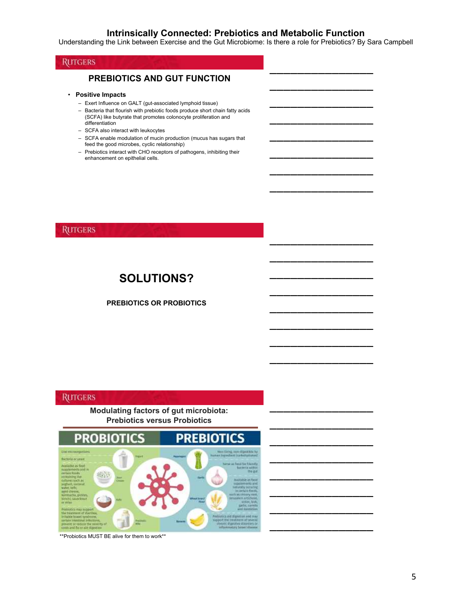Understanding the Link between Exercise and the Gut Microbiome: Is there a role for Prebiotics? By Sara Campbell

\_\_\_\_\_\_\_\_\_\_\_\_\_\_\_

\_\_\_\_\_\_\_\_\_\_\_\_\_\_\_

\_\_\_\_\_\_\_\_\_\_\_\_\_\_\_

\_\_\_\_\_\_\_\_\_\_\_\_\_\_\_

\_\_\_\_\_\_\_\_\_\_\_\_\_\_\_

\_\_\_\_\_\_\_\_\_\_\_\_\_\_\_

\_\_\_\_\_\_\_\_\_\_\_\_\_\_\_

\_\_\_\_\_\_\_\_\_\_\_\_\_\_\_

\_\_\_\_\_\_\_\_\_\_\_\_\_\_\_

\_\_\_\_\_\_\_\_\_\_\_\_\_\_\_

\_\_\_\_\_\_\_\_\_\_\_\_\_\_\_

\_\_\_\_\_\_\_\_\_\_\_\_\_\_\_

\_\_\_\_\_\_\_\_\_\_\_\_\_\_\_

\_\_\_\_\_\_\_\_\_\_\_\_\_\_\_

\_\_\_\_\_\_\_\_\_\_\_\_\_\_\_

\_\_\_\_\_\_\_\_\_\_\_\_\_\_\_

\_\_\_\_\_\_\_\_\_\_\_\_\_\_\_

\_\_\_\_\_\_\_\_\_\_\_\_\_\_\_

\_\_\_\_\_\_\_\_\_\_\_\_\_\_\_

\_\_\_\_\_\_\_\_\_\_\_\_\_\_\_

\_\_\_\_\_\_\_\_\_\_\_\_\_\_\_

\_\_\_\_\_\_\_\_\_\_\_\_\_\_\_

\_\_\_\_\_\_\_\_\_\_\_\_\_\_\_

\_\_\_\_\_\_\_\_\_\_\_\_\_\_\_

# **RUTGERS**

### **PREBIOTICS AND GUT FUNCTION**

- **Positive Impacts**
	- Exert Influence on GALT (gut-associated lymphoid tissue)
	- Bacteria that flourish with prebiotic foods produce short chain fatty acids (SCFA) like butyrate that promotes colonocyte proliferation and differentiation
	- SCFA also interact with leukocytes
	- SCFA enable modulation of mucin production (mucus has sugars that feed the good microbes, cyclic relationship)
	- Prebiotics interact with CHO receptors of pathogens, inhibiting their enhancement on epithelial cells.

### **RUTGERS**

# **SOLUTIONS?**

#### **PREBIOTICS OR PROBIOTICS**

## **RUTGERS**

#### **Modulating factors of gut microbiota: Prebiotics versus Probiotics**



\*\*Probiotics MUST BE alive for them to work\*\*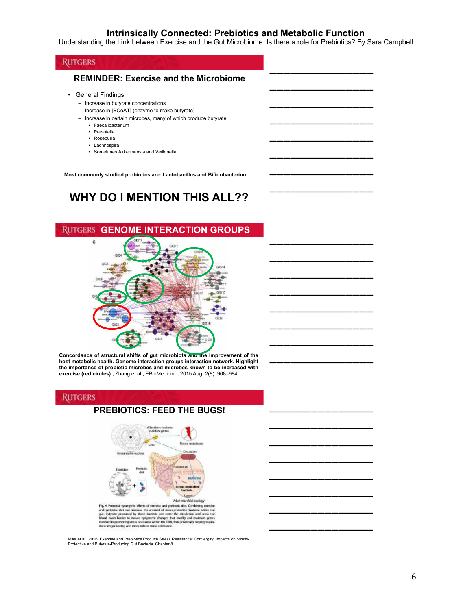Understanding the Link between Exercise and the Gut Microbiome: Is there a role for Prebiotics? By Sara Campbell

\_\_\_\_\_\_\_\_\_\_\_\_\_\_\_

\_\_\_\_\_\_\_\_\_\_\_\_\_\_\_

\_\_\_\_\_\_\_\_\_\_\_\_\_\_\_

\_\_\_\_\_\_\_\_\_\_\_\_\_\_\_

\_\_\_\_\_\_\_\_\_\_\_\_\_\_\_

\_\_\_\_\_\_\_\_\_\_\_\_\_\_\_

\_\_\_\_\_\_\_\_\_\_\_\_\_\_\_

\_\_\_\_\_\_\_\_\_\_\_\_\_\_\_

\_\_\_\_\_\_\_\_\_\_\_\_\_\_\_

\_\_\_\_\_\_\_\_\_\_\_\_\_\_\_

\_\_\_\_\_\_\_\_\_\_\_\_\_\_\_

\_\_\_\_\_\_\_\_\_\_\_\_\_\_\_

\_\_\_\_\_\_\_\_\_\_\_\_\_\_\_

\_\_\_\_\_\_\_\_\_\_\_\_\_\_\_

\_\_\_\_\_\_\_\_\_\_\_\_\_\_\_

\_\_\_\_\_\_\_\_\_\_\_\_\_\_\_

\_\_\_\_\_\_\_\_\_\_\_\_\_\_\_

\_\_\_\_\_\_\_\_\_\_\_\_\_\_\_

\_\_\_\_\_\_\_\_\_\_\_\_\_\_\_

\_\_\_\_\_\_\_\_\_\_\_\_\_\_\_

\_\_\_\_\_\_\_\_\_\_\_\_\_\_\_

\_\_\_\_\_\_\_\_\_\_\_\_\_\_\_

\_\_\_\_\_\_\_\_\_\_\_\_\_\_\_

\_\_\_\_\_\_\_\_\_\_\_\_\_\_\_

## **RUTGERS**

### **REMINDER: Exercise and the Microbiome**

- General Findings
	- Increase in butyrate concentrations
	- Increase in [BCoAT] (enzyme to make butyrate)
	- Increase in certain microbes, many of which produce butyrate
		- Faecalibacterium
		- Prevotella
		- Roseburia
		- Lachnospira • Sometimes Akkermansia and Veillonella

**Most commonly studied probiotics are: Lactobacillus and Bifidobacterium**

# **WHY DO I MENTION THIS ALL??**



**Concordance of structural shifts of gut microbiota and the improvement of the host metabolic health. Genome interaction groups interaction network. Highlight the importance of probiotic microbes and microbes known to be increased with exercise (red circles).,** Zhang et al., EBioMedicine, 2015 Aug; 2(8): 968–984.

#### **RUTGERS**

# **PREBIOTICS: FEED THE BUGS!**



Mika et al., 2016, Exercise and Prebiotics Produce Stress Resistance: Converging Impacts on Stress-Protective and Butyrate-Producing Gut Bacteria. Chapter 8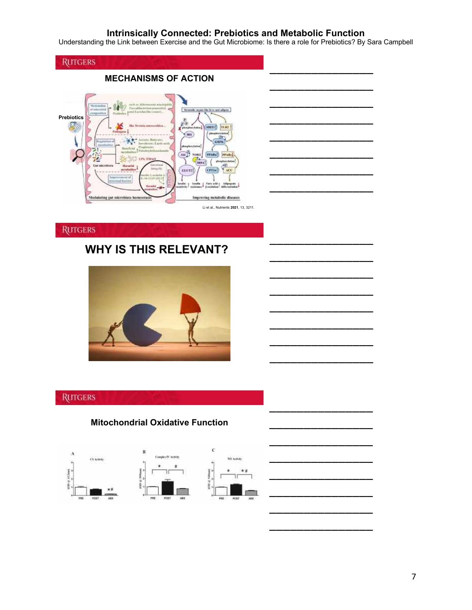Understanding the Link between Exercise and the Gut Microbiome: Is there a role for Prebiotics? By Sara Campbell

\_\_\_\_\_\_\_\_\_\_\_\_\_\_\_

\_\_\_\_\_\_\_\_\_\_\_\_\_\_\_

\_\_\_\_\_\_\_\_\_\_\_\_\_\_\_

\_\_\_\_\_\_\_\_\_\_\_\_\_\_\_

\_\_\_\_\_\_\_\_\_\_\_\_\_\_\_

\_\_\_\_\_\_\_\_\_\_\_\_\_\_\_

\_\_\_\_\_\_\_\_\_\_\_\_\_\_\_

\_\_\_\_\_\_\_\_\_\_\_\_\_\_\_

\_\_\_\_\_\_\_\_\_\_\_\_\_\_\_

\_\_\_\_\_\_\_\_\_\_\_\_\_\_\_

\_\_\_\_\_\_\_\_\_\_\_\_\_\_\_

\_\_\_\_\_\_\_\_\_\_\_\_\_\_\_

\_\_\_\_\_\_\_\_\_\_\_\_\_\_\_

\_\_\_\_\_\_\_\_\_\_\_\_\_\_\_

\_\_\_\_\_\_\_\_\_\_\_\_\_\_\_

\_\_\_\_\_\_\_\_\_\_\_\_\_\_\_



# **RUTGERS**

# **WHY IS THIS RELEVANT?**



# **RUTGERS**

# **Mitochondrial Oxidative Function**





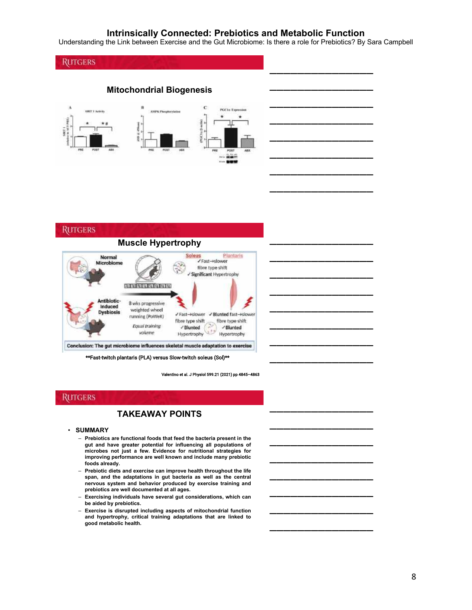Understanding the Link between Exercise and the Gut Microbiome: Is there a role for Prebiotics? By Sara Campbell

\_\_\_\_\_\_\_\_\_\_\_\_\_\_\_

\_\_\_\_\_\_\_\_\_\_\_\_\_\_\_

\_\_\_\_\_\_\_\_\_\_\_\_\_\_\_

\_\_\_\_\_\_\_\_\_\_\_\_\_\_\_

\_\_\_\_\_\_\_\_\_\_\_\_\_\_\_

\_\_\_\_\_\_\_\_\_\_\_\_\_\_\_

\_\_\_\_\_\_\_\_\_\_\_\_\_\_\_

\_\_\_\_\_\_\_\_\_\_\_\_\_\_\_

\_\_\_\_\_\_\_\_\_\_\_\_\_\_\_

\_\_\_\_\_\_\_\_\_\_\_\_\_\_\_

\_\_\_\_\_\_\_\_\_\_\_\_\_\_\_

\_\_\_\_\_\_\_\_\_\_\_\_\_\_\_

\_\_\_\_\_\_\_\_\_\_\_\_\_\_\_

\_\_\_\_\_\_\_\_\_\_\_\_\_\_\_

\_\_\_\_\_\_\_\_\_\_\_\_\_\_\_

\_\_\_\_\_\_\_\_\_\_\_\_\_\_\_

\_\_\_\_\_\_\_\_\_\_\_\_\_\_\_

\_\_\_\_\_\_\_\_\_\_\_\_\_\_\_

\_\_\_\_\_\_\_\_\_\_\_\_\_\_\_

# **RUTGERS**

**Mitochondrial Biogenesis**



#### **RUTGERS**



\*\*Fast-twitch plantaris (PLA) versus Slow-twitch soleus (Sol)\*\*

Valentino et al. J Physiol 599.21 (2021) pp 4845–4863

### **RUTGERS**

# **TAKEAWAY POINTS**

#### • **SUMMARY**

- **Prebiotics are functional foods that feed the bacteria present in the gut and have greater potential for influencing all populations of microbes not just a few. Evidence for nutritional strategies for improving performance are well known and include many prebiotic foods already.**
- **Prebiotic diets and exercise can improve health throughout the life span, and the adaptations in gut bacteria as well as the central nervous system and behavior produced by exercise training and prebiotics are well documented at all ages.**
- **Exercising individuals have several gut considerations, which can be aided by prebiotics.**
- Exercise is disrupted including aspects of mitochondrial function<br>and hypertrophy, critical training adaptations that are linked to **good metabolic health.**